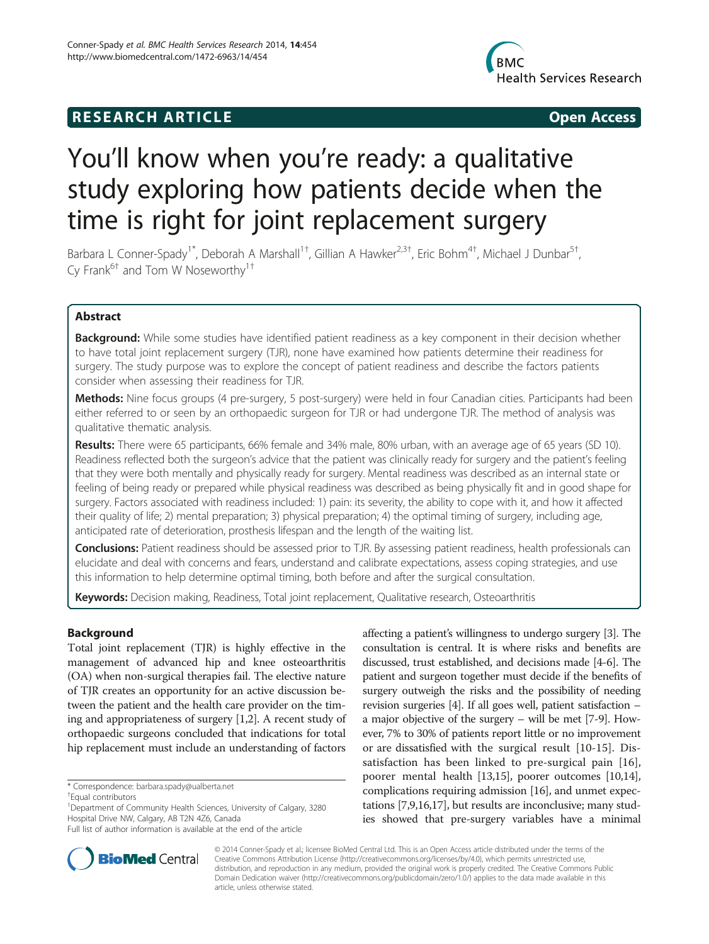## **RESEARCH ARTICLE Example 2014 CONSIDERING CONSIDERING CONSIDERING CONSIDERING CONSIDERING CONSIDERING CONSIDERING CONSIDERING CONSIDERING CONSIDERING CONSIDERING CONSIDERING CONSIDERING CONSIDERING CONSIDERING CONSIDE**



# You'll know when you're ready: a qualitative study exploring how patients decide when the time is right for joint replacement surgery

Barbara L Conner-Spady<sup>1\*</sup>, Deborah A Marshall<sup>1†</sup>, Gillian A Hawker<sup>2,3†</sup>, Eric Bohm<sup>4†</sup>, Michael J Dunbar<sup>5†</sup> , Cy Frank $^{6+}$  and Tom W Noseworthy<sup>1+</sup>

## Abstract

Background: While some studies have identified patient readiness as a key component in their decision whether to have total joint replacement surgery (TJR), none have examined how patients determine their readiness for surgery. The study purpose was to explore the concept of patient readiness and describe the factors patients consider when assessing their readiness for TJR.

Methods: Nine focus groups (4 pre-surgery, 5 post-surgery) were held in four Canadian cities. Participants had been either referred to or seen by an orthopaedic surgeon for TJR or had undergone TJR. The method of analysis was qualitative thematic analysis.

Results: There were 65 participants, 66% female and 34% male, 80% urban, with an average age of 65 years (SD 10). Readiness reflected both the surgeon's advice that the patient was clinically ready for surgery and the patient's feeling that they were both mentally and physically ready for surgery. Mental readiness was described as an internal state or feeling of being ready or prepared while physical readiness was described as being physically fit and in good shape for surgery. Factors associated with readiness included: 1) pain: its severity, the ability to cope with it, and how it affected their quality of life; 2) mental preparation; 3) physical preparation; 4) the optimal timing of surgery, including age, anticipated rate of deterioration, prosthesis lifespan and the length of the waiting list.

Conclusions: Patient readiness should be assessed prior to TJR. By assessing patient readiness, health professionals can elucidate and deal with concerns and fears, understand and calibrate expectations, assess coping strategies, and use this information to help determine optimal timing, both before and after the surgical consultation.

Keywords: Decision making, Readiness, Total joint replacement, Qualitative research, Osteoarthritis

## Background

Total joint replacement (TJR) is highly effective in the management of advanced hip and knee osteoarthritis (OA) when non-surgical therapies fail. The elective nature of TJR creates an opportunity for an active discussion between the patient and the health care provider on the timing and appropriateness of surgery [\[1,2\]](#page-7-0). A recent study of orthopaedic surgeons concluded that indications for total hip replacement must include an understanding of factors

affecting a patient's willingness to undergo surgery [\[3\]](#page-7-0). The consultation is central. It is where risks and benefits are discussed, trust established, and decisions made [[4](#page-7-0)-[6\]](#page-7-0). The patient and surgeon together must decide if the benefits of surgery outweigh the risks and the possibility of needing revision surgeries [[4\]](#page-7-0). If all goes well, patient satisfaction – a major objective of the surgery – will be met [[7-9\]](#page-7-0). However, 7% to 30% of patients report little or no improvement or are dissatisfied with the surgical result [\[10](#page-7-0)-[15\]](#page-8-0). Dissatisfaction has been linked to pre-surgical pain [\[16](#page-8-0)], poorer mental health [\[13,15\]](#page-8-0), poorer outcomes [\[10,](#page-7-0)[14](#page-8-0)], complications requiring admission [[16](#page-8-0)], and unmet expectations [\[7,9](#page-7-0)[,16,17](#page-8-0)], but results are inconclusive; many studies showed that pre-surgery variables have a minimal



© 2014 Conner-Spady et al.; licensee BioMed Central Ltd. This is an Open Access article distributed under the terms of the Creative Commons Attribution License (<http://creativecommons.org/licenses/by/4.0>), which permits unrestricted use, distribution, and reproduction in any medium, provided the original work is properly credited. The Creative Commons Public Domain Dedication waiver [\(http://creativecommons.org/publicdomain/zero/1.0/\)](http://creativecommons.org/publicdomain/zero/1.0/) applies to the data made available in this article, unless otherwise stated.

<sup>\*</sup> Correspondence: [barbara.spady@ualberta.net](mailto:barbara.spady@ualberta.net) †

Equal contributors

<sup>&</sup>lt;sup>1</sup>Department of Community Health Sciences, University of Calgary, 3280 Hospital Drive NW, Calgary, AB T2N 4Z6, Canada

Full list of author information is available at the end of the article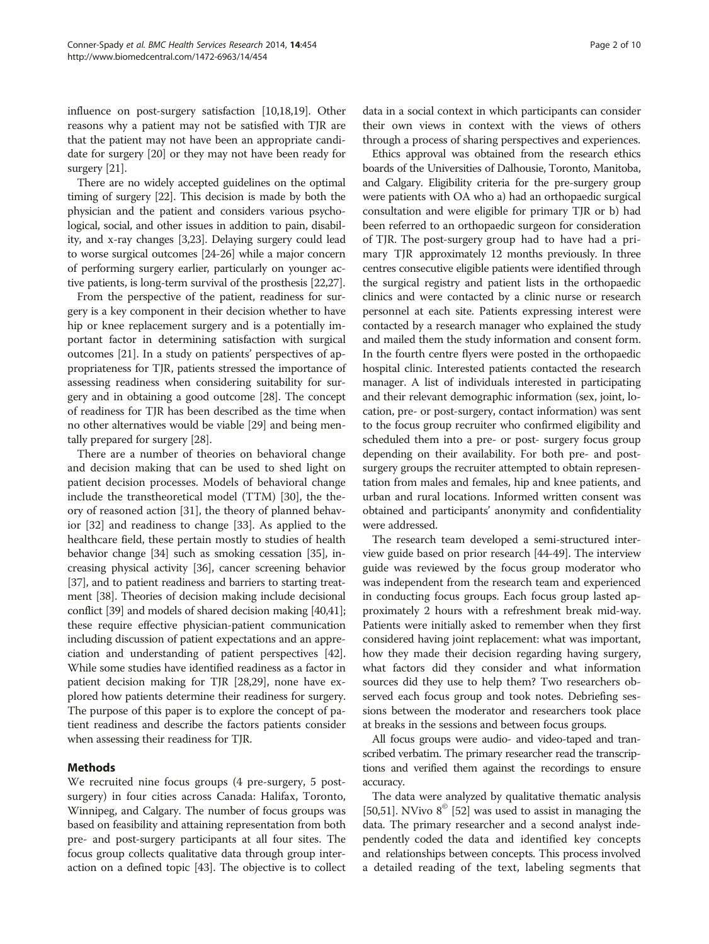influence on post-surgery satisfaction [\[10,](#page-7-0)[18,19\]](#page-8-0). Other reasons why a patient may not be satisfied with TJR are that the patient may not have been an appropriate candidate for surgery [[20](#page-8-0)] or they may not have been ready for surgery [[21](#page-8-0)].

There are no widely accepted guidelines on the optimal timing of surgery [\[22\]](#page-8-0). This decision is made by both the physician and the patient and considers various psychological, social, and other issues in addition to pain, disability, and x-ray changes [[3](#page-7-0)[,23](#page-8-0)]. Delaying surgery could lead to worse surgical outcomes [\[24-26\]](#page-8-0) while a major concern of performing surgery earlier, particularly on younger active patients, is long-term survival of the prosthesis [\[22,27\]](#page-8-0).

From the perspective of the patient, readiness for surgery is a key component in their decision whether to have hip or knee replacement surgery and is a potentially important factor in determining satisfaction with surgical outcomes [[21](#page-8-0)]. In a study on patients' perspectives of appropriateness for TJR, patients stressed the importance of assessing readiness when considering suitability for surgery and in obtaining a good outcome [\[28\]](#page-8-0). The concept of readiness for TJR has been described as the time when no other alternatives would be viable [\[29\]](#page-8-0) and being mentally prepared for surgery [\[28\]](#page-8-0).

There are a number of theories on behavioral change and decision making that can be used to shed light on patient decision processes. Models of behavioral change include the transtheoretical model (TTM) [[30\]](#page-8-0), the theory of reasoned action [\[31\]](#page-8-0), the theory of planned behavior [[32\]](#page-8-0) and readiness to change [\[33\]](#page-8-0). As applied to the healthcare field, these pertain mostly to studies of health behavior change [\[34\]](#page-8-0) such as smoking cessation [[35](#page-8-0)], increasing physical activity [\[36\]](#page-8-0), cancer screening behavior [[37](#page-8-0)], and to patient readiness and barriers to starting treatment [[38](#page-8-0)]. Theories of decision making include decisional conflict [[39](#page-8-0)] and models of shared decision making [\[40,41](#page-8-0)]; these require effective physician-patient communication including discussion of patient expectations and an appreciation and understanding of patient perspectives [[42](#page-8-0)]. While some studies have identified readiness as a factor in patient decision making for TJR [[28,29\]](#page-8-0), none have explored how patients determine their readiness for surgery. The purpose of this paper is to explore the concept of patient readiness and describe the factors patients consider when assessing their readiness for TJR.

## Methods

We recruited nine focus groups (4 pre-surgery, 5 postsurgery) in four cities across Canada: Halifax, Toronto, Winnipeg, and Calgary. The number of focus groups was based on feasibility and attaining representation from both pre- and post-surgery participants at all four sites. The focus group collects qualitative data through group interaction on a defined topic [\[43\]](#page-8-0). The objective is to collect data in a social context in which participants can consider their own views in context with the views of others through a process of sharing perspectives and experiences.

Ethics approval was obtained from the research ethics boards of the Universities of Dalhousie, Toronto, Manitoba, and Calgary. Eligibility criteria for the pre-surgery group were patients with OA who a) had an orthopaedic surgical consultation and were eligible for primary TJR or b) had been referred to an orthopaedic surgeon for consideration of TJR. The post-surgery group had to have had a primary TJR approximately 12 months previously. In three centres consecutive eligible patients were identified through the surgical registry and patient lists in the orthopaedic clinics and were contacted by a clinic nurse or research personnel at each site. Patients expressing interest were contacted by a research manager who explained the study and mailed them the study information and consent form. In the fourth centre flyers were posted in the orthopaedic hospital clinic. Interested patients contacted the research manager. A list of individuals interested in participating and their relevant demographic information (sex, joint, location, pre- or post-surgery, contact information) was sent to the focus group recruiter who confirmed eligibility and scheduled them into a pre- or post- surgery focus group depending on their availability. For both pre- and postsurgery groups the recruiter attempted to obtain representation from males and females, hip and knee patients, and urban and rural locations. Informed written consent was obtained and participants' anonymity and confidentiality were addressed.

The research team developed a semi-structured interview guide based on prior research [[44](#page-8-0)-[49](#page-8-0)]. The interview guide was reviewed by the focus group moderator who was independent from the research team and experienced in conducting focus groups. Each focus group lasted approximately 2 hours with a refreshment break mid-way. Patients were initially asked to remember when they first considered having joint replacement: what was important, how they made their decision regarding having surgery, what factors did they consider and what information sources did they use to help them? Two researchers observed each focus group and took notes. Debriefing sessions between the moderator and researchers took place at breaks in the sessions and between focus groups.

All focus groups were audio- and video-taped and transcribed verbatim. The primary researcher read the transcriptions and verified them against the recordings to ensure accuracy.

The data were analyzed by qualitative thematic analysis [[50](#page-8-0),[51](#page-8-0)]. NVivo  $8^\circ$  [\[52](#page-8-0)] was used to assist in managing the data. The primary researcher and a second analyst independently coded the data and identified key concepts and relationships between concepts. This process involved a detailed reading of the text, labeling segments that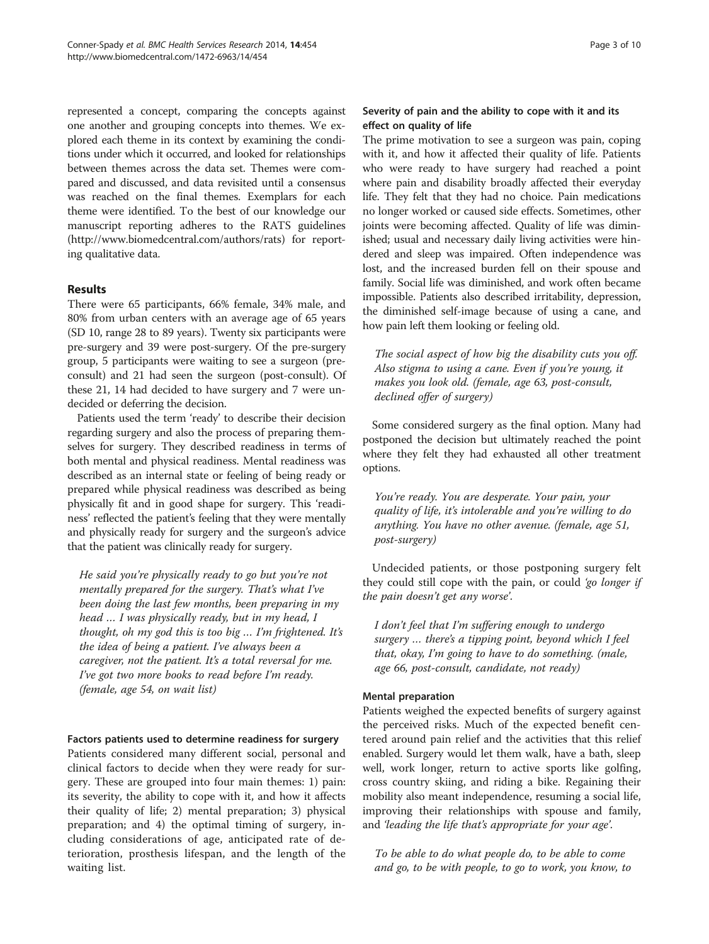represented a concept, comparing the concepts against one another and grouping concepts into themes. We explored each theme in its context by examining the conditions under which it occurred, and looked for relationships between themes across the data set. Themes were compared and discussed, and data revisited until a consensus was reached on the final themes. Exemplars for each theme were identified. To the best of our knowledge our manuscript reporting adheres to the RATS guidelines (<http://www.biomedcentral.com/authors/rats>) for reporting qualitative data.

## Results

There were 65 participants, 66% female, 34% male, and 80% from urban centers with an average age of 65 years (SD 10, range 28 to 89 years). Twenty six participants were pre-surgery and 39 were post-surgery. Of the pre-surgery group, 5 participants were waiting to see a surgeon (preconsult) and 21 had seen the surgeon (post-consult). Of these 21, 14 had decided to have surgery and 7 were undecided or deferring the decision.

Patients used the term 'ready' to describe their decision regarding surgery and also the process of preparing themselves for surgery. They described readiness in terms of both mental and physical readiness. Mental readiness was described as an internal state or feeling of being ready or prepared while physical readiness was described as being physically fit and in good shape for surgery. This 'readiness' reflected the patient's feeling that they were mentally and physically ready for surgery and the surgeon's advice that the patient was clinically ready for surgery.

He said you're physically ready to go but you're not mentally prepared for the surgery. That's what I've been doing the last few months, been preparing in my head … I was physically ready, but in my head, I thought, oh my god this is too big … I'm frightened. It's the idea of being a patient. I've always been a caregiver, not the patient. It's a total reversal for me. I've got two more books to read before I'm ready. (female, age 54, on wait list)

## Factors patients used to determine readiness for surgery

Patients considered many different social, personal and clinical factors to decide when they were ready for surgery. These are grouped into four main themes: 1) pain: its severity, the ability to cope with it, and how it affects their quality of life; 2) mental preparation; 3) physical preparation; and 4) the optimal timing of surgery, including considerations of age, anticipated rate of deterioration, prosthesis lifespan, and the length of the waiting list.

## Severity of pain and the ability to cope with it and its effect on quality of life

The prime motivation to see a surgeon was pain, coping with it, and how it affected their quality of life. Patients who were ready to have surgery had reached a point where pain and disability broadly affected their everyday life. They felt that they had no choice. Pain medications no longer worked or caused side effects. Sometimes, other joints were becoming affected. Quality of life was diminished; usual and necessary daily living activities were hindered and sleep was impaired. Often independence was lost, and the increased burden fell on their spouse and family. Social life was diminished, and work often became impossible. Patients also described irritability, depression, the diminished self-image because of using a cane, and how pain left them looking or feeling old.

The social aspect of how big the disability cuts you off. Also stigma to using a cane. Even if you're young, it makes you look old. (female, age 63, post-consult, declined offer of surgery)

Some considered surgery as the final option. Many had postponed the decision but ultimately reached the point where they felt they had exhausted all other treatment options.

You're ready. You are desperate. Your pain, your quality of life, it's intolerable and you're willing to do anything. You have no other avenue. (female, age 51, post-surgery)

Undecided patients, or those postponing surgery felt they could still cope with the pain, or could 'go longer if the pain doesn't get any worse'.

I don't feel that I'm suffering enough to undergo surgery … there's a tipping point, beyond which I feel that, okay, I'm going to have to do something. (male, age 66, post-consult, candidate, not ready)

#### Mental preparation

Patients weighed the expected benefits of surgery against the perceived risks. Much of the expected benefit centered around pain relief and the activities that this relief enabled. Surgery would let them walk, have a bath, sleep well, work longer, return to active sports like golfing, cross country skiing, and riding a bike. Regaining their mobility also meant independence, resuming a social life, improving their relationships with spouse and family, and 'leading the life that's appropriate for your age'.

To be able to do what people do, to be able to come and go, to be with people, to go to work, you know, to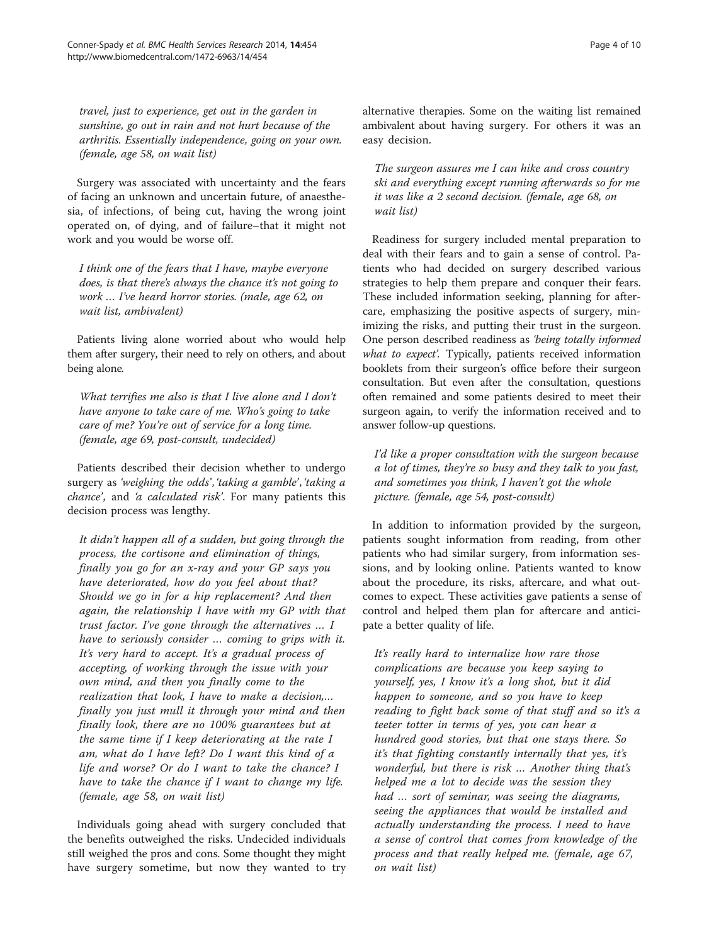travel, just to experience, get out in the garden in sunshine, go out in rain and not hurt because of the arthritis. Essentially independence, going on your own. (female, age 58, on wait list)

Surgery was associated with uncertainty and the fears of facing an unknown and uncertain future, of anaesthesia, of infections, of being cut, having the wrong joint operated on, of dying, and of failure–that it might not work and you would be worse off.

I think one of the fears that I have, maybe everyone does, is that there's always the chance it's not going to work … I've heard horror stories. (male, age 62, on wait list, ambivalent)

Patients living alone worried about who would help them after surgery, their need to rely on others, and about being alone.

What terrifies me also is that I live alone and I don't have anyone to take care of me. Who's going to take care of me? You're out of service for a long time. (female, age 69, post-consult, undecided)

Patients described their decision whether to undergo surgery as 'weighing the odds', 'taking a gamble', 'taking a chance', and 'a calculated risk'. For many patients this decision process was lengthy.

It didn't happen all of a sudden, but going through the process, the cortisone and elimination of things, finally you go for an x-ray and your GP says you have deteriorated, how do you feel about that? Should we go in for a hip replacement? And then again, the relationship I have with my GP with that trust factor. I've gone through the alternatives … I have to seriously consider … coming to grips with it. It's very hard to accept. It's a gradual process of accepting, of working through the issue with your own mind, and then you finally come to the realization that look, I have to make a decision,… finally you just mull it through your mind and then finally look, there are no 100% guarantees but at the same time if I keep deteriorating at the rate I am, what do I have left? Do I want this kind of a life and worse? Or do I want to take the chance? I have to take the chance if I want to change my life. (female, age 58, on wait list)

Individuals going ahead with surgery concluded that the benefits outweighed the risks. Undecided individuals still weighed the pros and cons. Some thought they might have surgery sometime, but now they wanted to try alternative therapies. Some on the waiting list remained ambivalent about having surgery. For others it was an easy decision.

The surgeon assures me I can hike and cross country ski and everything except running afterwards so for me it was like a 2 second decision. (female, age 68, on wait list)

Readiness for surgery included mental preparation to deal with their fears and to gain a sense of control. Patients who had decided on surgery described various strategies to help them prepare and conquer their fears. These included information seeking, planning for aftercare, emphasizing the positive aspects of surgery, minimizing the risks, and putting their trust in the surgeon. One person described readiness as 'being totally informed what to expect'. Typically, patients received information booklets from their surgeon's office before their surgeon consultation. But even after the consultation, questions often remained and some patients desired to meet their surgeon again, to verify the information received and to answer follow-up questions.

I'd like a proper consultation with the surgeon because a lot of times, they're so busy and they talk to you fast, and sometimes you think, I haven't got the whole picture. (female, age 54, post-consult)

In addition to information provided by the surgeon, patients sought information from reading, from other patients who had similar surgery, from information sessions, and by looking online. Patients wanted to know about the procedure, its risks, aftercare, and what outcomes to expect. These activities gave patients a sense of control and helped them plan for aftercare and anticipate a better quality of life.

It's really hard to internalize how rare those complications are because you keep saying to yourself, yes, I know it's a long shot, but it did happen to someone, and so you have to keep reading to fight back some of that stuff and so it's a teeter totter in terms of yes, you can hear a hundred good stories, but that one stays there. So it's that fighting constantly internally that yes, it's wonderful, but there is risk … Another thing that's helped me a lot to decide was the session they had … sort of seminar, was seeing the diagrams, seeing the appliances that would be installed and actually understanding the process. I need to have a sense of control that comes from knowledge of the process and that really helped me. (female, age 67, on wait list)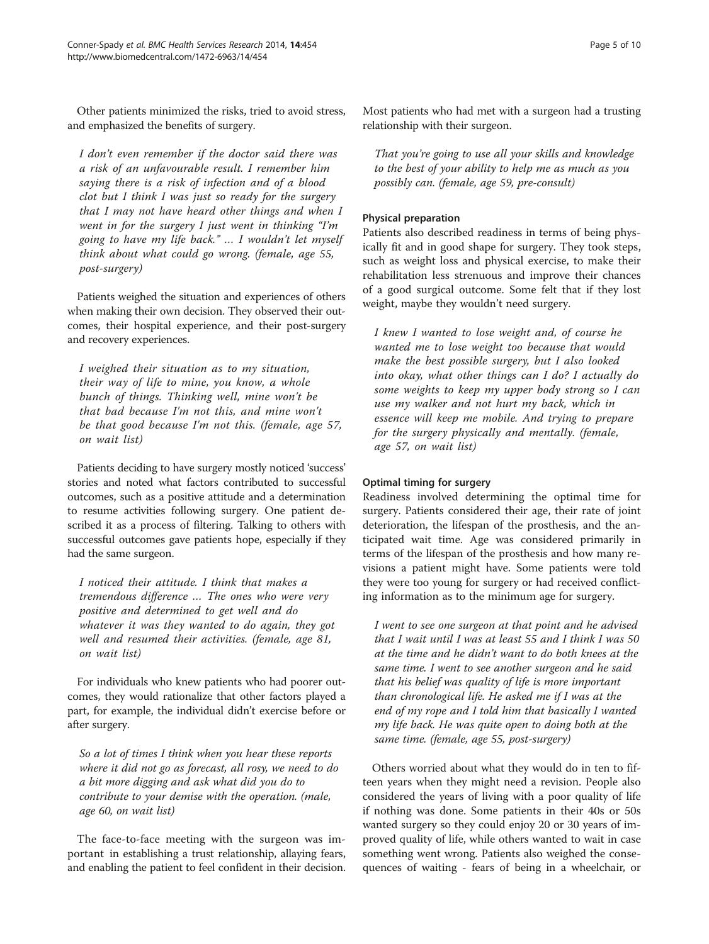Other patients minimized the risks, tried to avoid stress, and emphasized the benefits of surgery.

I don't even remember if the doctor said there was a risk of an unfavourable result. I remember him saying there is a risk of infection and of a blood clot but I think I was just so ready for the surgery that I may not have heard other things and when I went in for the surgery I just went in thinking "I'm going to have my life back." … I wouldn't let myself think about what could go wrong. (female, age 55, post-surgery)

Patients weighed the situation and experiences of others when making their own decision. They observed their outcomes, their hospital experience, and their post-surgery and recovery experiences.

I weighed their situation as to my situation, their way of life to mine, you know, a whole bunch of things. Thinking well, mine won't be that bad because I'm not this, and mine won't be that good because I'm not this. (female, age 57, on wait list)

Patients deciding to have surgery mostly noticed 'success' stories and noted what factors contributed to successful outcomes, such as a positive attitude and a determination to resume activities following surgery. One patient described it as a process of filtering. Talking to others with successful outcomes gave patients hope, especially if they had the same surgeon.

I noticed their attitude. I think that makes a tremendous difference … The ones who were very positive and determined to get well and do whatever it was they wanted to do again, they got well and resumed their activities. (female, age 81, on wait list)

For individuals who knew patients who had poorer outcomes, they would rationalize that other factors played a part, for example, the individual didn't exercise before or after surgery.

So a lot of times I think when you hear these reports where it did not go as forecast, all rosy, we need to do a bit more digging and ask what did you do to contribute to your demise with the operation. (male, age 60, on wait list)

The face-to-face meeting with the surgeon was important in establishing a trust relationship, allaying fears, and enabling the patient to feel confident in their decision. Most patients who had met with a surgeon had a trusting relationship with their surgeon.

That you're going to use all your skills and knowledge to the best of your ability to help me as much as you possibly can. (female, age 59, pre-consult)

#### Physical preparation

Patients also described readiness in terms of being physically fit and in good shape for surgery. They took steps, such as weight loss and physical exercise, to make their rehabilitation less strenuous and improve their chances of a good surgical outcome. Some felt that if they lost weight, maybe they wouldn't need surgery.

I knew I wanted to lose weight and, of course he wanted me to lose weight too because that would make the best possible surgery, but I also looked into okay, what other things can I do? I actually do some weights to keep my upper body strong so I can use my walker and not hurt my back, which in essence will keep me mobile. And trying to prepare for the surgery physically and mentally. (female, age 57, on wait list)

#### Optimal timing for surgery

Readiness involved determining the optimal time for surgery. Patients considered their age, their rate of joint deterioration, the lifespan of the prosthesis, and the anticipated wait time. Age was considered primarily in terms of the lifespan of the prosthesis and how many revisions a patient might have. Some patients were told they were too young for surgery or had received conflicting information as to the minimum age for surgery.

I went to see one surgeon at that point and he advised that I wait until I was at least 55 and I think I was 50 at the time and he didn't want to do both knees at the same time. I went to see another surgeon and he said that his belief was quality of life is more important than chronological life. He asked me if I was at the end of my rope and I told him that basically I wanted my life back. He was quite open to doing both at the same time. (female, age 55, post-surgery)

Others worried about what they would do in ten to fifteen years when they might need a revision. People also considered the years of living with a poor quality of life if nothing was done. Some patients in their 40s or 50s wanted surgery so they could enjoy 20 or 30 years of improved quality of life, while others wanted to wait in case something went wrong. Patients also weighed the consequences of waiting - fears of being in a wheelchair, or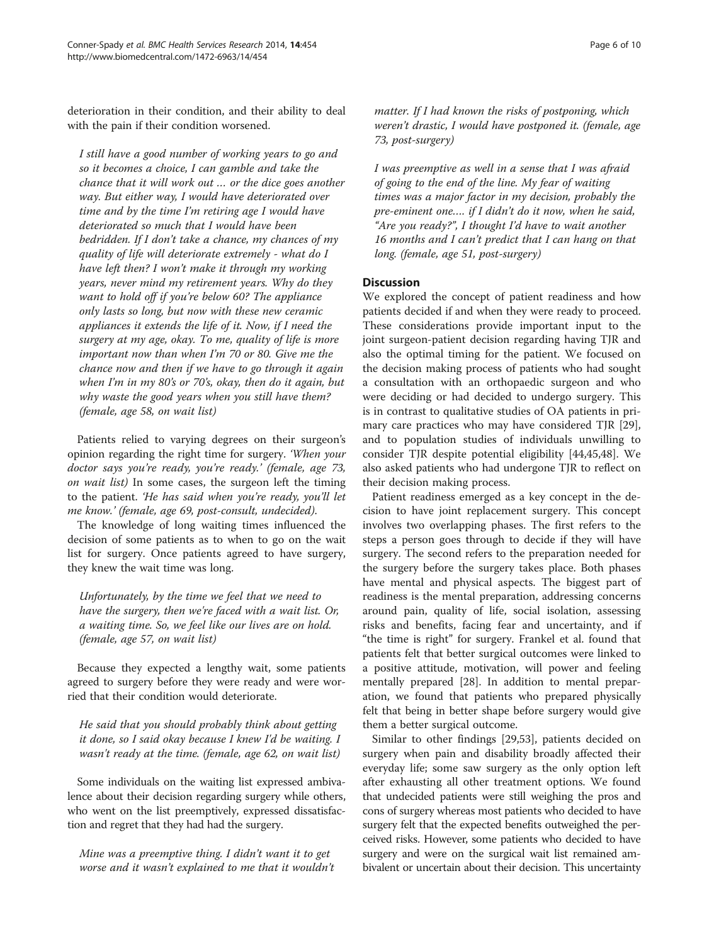deterioration in their condition, and their ability to deal with the pain if their condition worsened.

I still have a good number of working years to go and so it becomes a choice, I can gamble and take the chance that it will work out … or the dice goes another way. But either way, I would have deteriorated over time and by the time I'm retiring age I would have deteriorated so much that I would have been bedridden. If I don't take a chance, my chances of my quality of life will deteriorate extremely - what do I have left then? I won't make it through my working years, never mind my retirement years. Why do they want to hold off if you're below 60? The appliance only lasts so long, but now with these new ceramic appliances it extends the life of it. Now, if I need the surgery at my age, okay. To me, quality of life is more important now than when I'm 70 or 80. Give me the chance now and then if we have to go through it again when I'm in my 80's or 70's, okay, then do it again, but why waste the good years when you still have them? (female, age 58, on wait list)

Patients relied to varying degrees on their surgeon's opinion regarding the right time for surgery. 'When your doctor says you're ready, you're ready.' (female, age 73, on wait list) In some cases, the surgeon left the timing to the patient. 'He has said when you're ready, you'll let me know.' (female, age 69, post-consult, undecided).

The knowledge of long waiting times influenced the decision of some patients as to when to go on the wait list for surgery. Once patients agreed to have surgery, they knew the wait time was long.

Unfortunately, by the time we feel that we need to have the surgery, then we're faced with a wait list. Or, a waiting time. So, we feel like our lives are on hold. (female, age 57, on wait list)

Because they expected a lengthy wait, some patients agreed to surgery before they were ready and were worried that their condition would deteriorate.

He said that you should probably think about getting it done, so I said okay because I knew I'd be waiting. I wasn't ready at the time. (female, age 62, on wait list)

Some individuals on the waiting list expressed ambivalence about their decision regarding surgery while others, who went on the list preemptively, expressed dissatisfaction and regret that they had had the surgery.

Mine was a preemptive thing. I didn't want it to get worse and it wasn't explained to me that it wouldn't matter. If I had known the risks of postponing, which weren't drastic, I would have postponed it. (female, age 73, post-surgery)

I was preemptive as well in a sense that I was afraid of going to the end of the line. My fear of waiting times was a major factor in my decision, probably the pre-eminent one…. if I didn't do it now, when he said, "Are you ready?", I thought I'd have to wait another 16 months and I can't predict that I can hang on that long. (female, age 51, post-surgery)

## **Discussion**

We explored the concept of patient readiness and how patients decided if and when they were ready to proceed. These considerations provide important input to the joint surgeon-patient decision regarding having TJR and also the optimal timing for the patient. We focused on the decision making process of patients who had sought a consultation with an orthopaedic surgeon and who were deciding or had decided to undergo surgery. This is in contrast to qualitative studies of OA patients in primary care practices who may have considered TJR [\[29](#page-8-0)], and to population studies of individuals unwilling to consider TJR despite potential eligibility [[44,45,48\]](#page-8-0). We also asked patients who had undergone TJR to reflect on their decision making process.

Patient readiness emerged as a key concept in the decision to have joint replacement surgery. This concept involves two overlapping phases. The first refers to the steps a person goes through to decide if they will have surgery. The second refers to the preparation needed for the surgery before the surgery takes place. Both phases have mental and physical aspects. The biggest part of readiness is the mental preparation, addressing concerns around pain, quality of life, social isolation, assessing risks and benefits, facing fear and uncertainty, and if "the time is right" for surgery. Frankel et al. found that patients felt that better surgical outcomes were linked to a positive attitude, motivation, will power and feeling mentally prepared [\[28](#page-8-0)]. In addition to mental preparation, we found that patients who prepared physically felt that being in better shape before surgery would give them a better surgical outcome.

Similar to other findings [\[29,53](#page-8-0)], patients decided on surgery when pain and disability broadly affected their everyday life; some saw surgery as the only option left after exhausting all other treatment options. We found that undecided patients were still weighing the pros and cons of surgery whereas most patients who decided to have surgery felt that the expected benefits outweighed the perceived risks. However, some patients who decided to have surgery and were on the surgical wait list remained ambivalent or uncertain about their decision. This uncertainty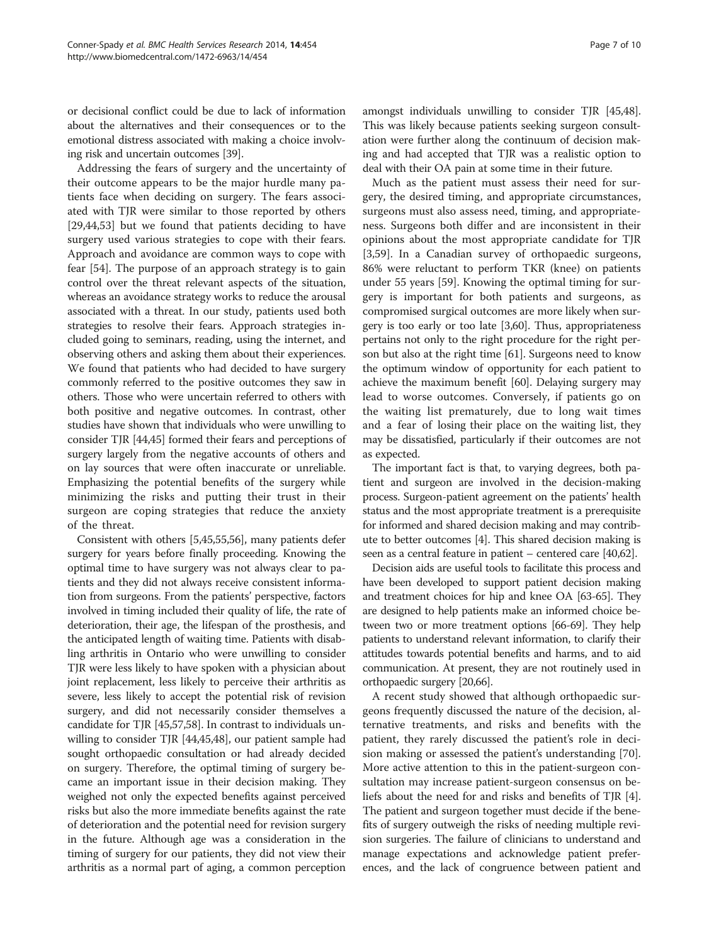or decisional conflict could be due to lack of information about the alternatives and their consequences or to the emotional distress associated with making a choice involving risk and uncertain outcomes [\[39\]](#page-8-0).

Addressing the fears of surgery and the uncertainty of their outcome appears to be the major hurdle many patients face when deciding on surgery. The fears associated with TJR were similar to those reported by others [[29,44,53\]](#page-8-0) but we found that patients deciding to have surgery used various strategies to cope with their fears. Approach and avoidance are common ways to cope with fear [\[54](#page-8-0)]. The purpose of an approach strategy is to gain control over the threat relevant aspects of the situation, whereas an avoidance strategy works to reduce the arousal associated with a threat. In our study, patients used both strategies to resolve their fears. Approach strategies included going to seminars, reading, using the internet, and observing others and asking them about their experiences. We found that patients who had decided to have surgery commonly referred to the positive outcomes they saw in others. Those who were uncertain referred to others with both positive and negative outcomes. In contrast, other studies have shown that individuals who were unwilling to consider TJR [\[44,45\]](#page-8-0) formed their fears and perceptions of surgery largely from the negative accounts of others and on lay sources that were often inaccurate or unreliable. Emphasizing the potential benefits of the surgery while minimizing the risks and putting their trust in their surgeon are coping strategies that reduce the anxiety of the threat.

Consistent with others [\[5](#page-7-0)[,45,55](#page-8-0),[56](#page-8-0)], many patients defer surgery for years before finally proceeding. Knowing the optimal time to have surgery was not always clear to patients and they did not always receive consistent information from surgeons. From the patients' perspective, factors involved in timing included their quality of life, the rate of deterioration, their age, the lifespan of the prosthesis, and the anticipated length of waiting time. Patients with disabling arthritis in Ontario who were unwilling to consider TJR were less likely to have spoken with a physician about joint replacement, less likely to perceive their arthritis as severe, less likely to accept the potential risk of revision surgery, and did not necessarily consider themselves a candidate for TJR [[45](#page-8-0),[57,58\]](#page-8-0). In contrast to individuals unwilling to consider TJR [[44](#page-8-0),[45,48\]](#page-8-0), our patient sample had sought orthopaedic consultation or had already decided on surgery. Therefore, the optimal timing of surgery became an important issue in their decision making. They weighed not only the expected benefits against perceived risks but also the more immediate benefits against the rate of deterioration and the potential need for revision surgery in the future. Although age was a consideration in the timing of surgery for our patients, they did not view their arthritis as a normal part of aging, a common perception

amongst individuals unwilling to consider TJR [\[45,48](#page-8-0)]. This was likely because patients seeking surgeon consultation were further along the continuum of decision making and had accepted that TJR was a realistic option to deal with their OA pain at some time in their future.

Much as the patient must assess their need for surgery, the desired timing, and appropriate circumstances, surgeons must also assess need, timing, and appropriateness. Surgeons both differ and are inconsistent in their opinions about the most appropriate candidate for TJR [[3,](#page-7-0)[59\]](#page-8-0). In a Canadian survey of orthopaedic surgeons, 86% were reluctant to perform TKR (knee) on patients under 55 years [[59\]](#page-8-0). Knowing the optimal timing for surgery is important for both patients and surgeons, as compromised surgical outcomes are more likely when surgery is too early or too late [[3,](#page-7-0)[60](#page-8-0)]. Thus, appropriateness pertains not only to the right procedure for the right person but also at the right time [[61\]](#page-8-0). Surgeons need to know the optimum window of opportunity for each patient to achieve the maximum benefit [\[60\]](#page-8-0). Delaying surgery may lead to worse outcomes. Conversely, if patients go on the waiting list prematurely, due to long wait times and a fear of losing their place on the waiting list, they may be dissatisfied, particularly if their outcomes are not as expected.

The important fact is that, to varying degrees, both patient and surgeon are involved in the decision-making process. Surgeon-patient agreement on the patients' health status and the most appropriate treatment is a prerequisite for informed and shared decision making and may contribute to better outcomes [\[4\]](#page-7-0). This shared decision making is seen as a central feature in patient – centered care [\[40](#page-8-0)[,62](#page-9-0)].

Decision aids are useful tools to facilitate this process and have been developed to support patient decision making and treatment choices for hip and knee OA [[63](#page-9-0)-[65](#page-9-0)]. They are designed to help patients make an informed choice between two or more treatment options [\[66-69\]](#page-9-0). They help patients to understand relevant information, to clarify their attitudes towards potential benefits and harms, and to aid communication. At present, they are not routinely used in orthopaedic surgery [\[20,](#page-8-0)[66](#page-9-0)].

A recent study showed that although orthopaedic surgeons frequently discussed the nature of the decision, alternative treatments, and risks and benefits with the patient, they rarely discussed the patient's role in decision making or assessed the patient's understanding [\[70](#page-9-0)]. More active attention to this in the patient-surgeon consultation may increase patient-surgeon consensus on beliefs about the need for and risks and benefits of TJR [[4](#page-7-0)]. The patient and surgeon together must decide if the benefits of surgery outweigh the risks of needing multiple revision surgeries. The failure of clinicians to understand and manage expectations and acknowledge patient preferences, and the lack of congruence between patient and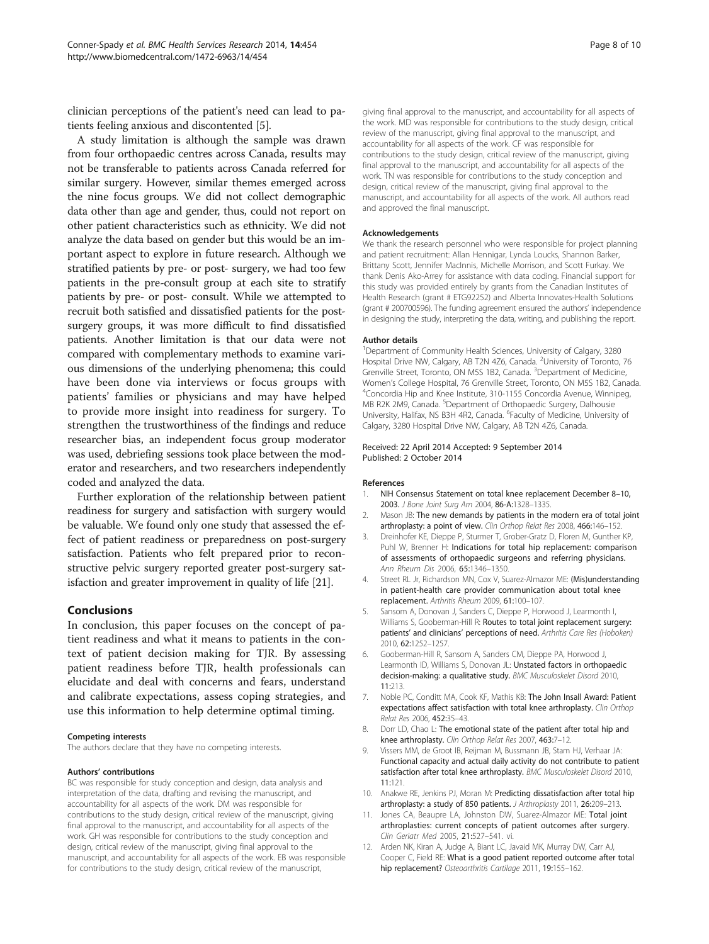<span id="page-7-0"></span>clinician perceptions of the patient's need can lead to patients feeling anxious and discontented [5].

A study limitation is although the sample was drawn from four orthopaedic centres across Canada, results may not be transferable to patients across Canada referred for similar surgery. However, similar themes emerged across the nine focus groups. We did not collect demographic data other than age and gender, thus, could not report on other patient characteristics such as ethnicity. We did not analyze the data based on gender but this would be an important aspect to explore in future research. Although we stratified patients by pre- or post- surgery, we had too few patients in the pre-consult group at each site to stratify patients by pre- or post- consult. While we attempted to recruit both satisfied and dissatisfied patients for the postsurgery groups, it was more difficult to find dissatisfied patients. Another limitation is that our data were not compared with complementary methods to examine various dimensions of the underlying phenomena; this could have been done via interviews or focus groups with patients' families or physicians and may have helped to provide more insight into readiness for surgery. To strengthen the trustworthiness of the findings and reduce researcher bias, an independent focus group moderator was used, debriefing sessions took place between the moderator and researchers, and two researchers independently coded and analyzed the data.

Further exploration of the relationship between patient readiness for surgery and satisfaction with surgery would be valuable. We found only one study that assessed the effect of patient readiness or preparedness on post-surgery satisfaction. Patients who felt prepared prior to reconstructive pelvic surgery reported greater post-surgery satisfaction and greater improvement in quality of life [\[21\]](#page-8-0).

#### Conclusions

In conclusion, this paper focuses on the concept of patient readiness and what it means to patients in the context of patient decision making for TJR. By assessing patient readiness before TJR, health professionals can elucidate and deal with concerns and fears, understand and calibrate expectations, assess coping strategies, and use this information to help determine optimal timing.

#### Competing interests

The authors declare that they have no competing interests.

#### Authors' contributions

BC was responsible for study conception and design, data analysis and interpretation of the data, drafting and revising the manuscript, and accountability for all aspects of the work. DM was responsible for contributions to the study design, critical review of the manuscript, giving final approval to the manuscript, and accountability for all aspects of the work. GH was responsible for contributions to the study conception and design, critical review of the manuscript, giving final approval to the manuscript, and accountability for all aspects of the work. EB was responsible for contributions to the study design, critical review of the manuscript,

giving final approval to the manuscript, and accountability for all aspects of the work. MD was responsible for contributions to the study design, critical review of the manuscript, giving final approval to the manuscript, and accountability for all aspects of the work. CF was responsible for contributions to the study design, critical review of the manuscript, giving final approval to the manuscript, and accountability for all aspects of the work. TN was responsible for contributions to the study conception and design, critical review of the manuscript, giving final approval to the manuscript, and accountability for all aspects of the work. All authors read and approved the final manuscript.

#### Acknowledgements

We thank the research personnel who were responsible for project planning and patient recruitment: Allan Hennigar, Lynda Loucks, Shannon Barker, Brittany Scott, Jennifer MacInnis, Michelle Morrison, and Scott Furkay. We thank Denis Ako-Arrey for assistance with data coding. Financial support for this study was provided entirely by grants from the Canadian Institutes of Health Research (grant # ETG92252) and Alberta Innovates-Health Solutions (grant # 200700596). The funding agreement ensured the authors' independence in designing the study, interpreting the data, writing, and publishing the report.

#### Author details

<sup>1</sup>Department of Community Health Sciences, University of Calgary, 3280 Hospital Drive NW, Calgary, AB T2N 4Z6, Canada. <sup>2</sup>University of Toronto, 76 Grenville Street, Toronto, ON M5S 1B2, Canada. <sup>3</sup>Department of Medicine, Women's College Hospital, 76 Grenville Street, Toronto, ON M5S 1B2, Canada. <sup>4</sup> Concordia Hip and Knee Institute, 310-1155 Concordia Avenue, Winnipeg, MB R2K 2M9, Canada. <sup>5</sup>Department of Orthopaedic Surgery, Dalhousie University, Halifax, NS B3H 4R2, Canada. <sup>6</sup>Faculty of Medicine, University of Calgary, 3280 Hospital Drive NW, Calgary, AB T2N 4Z6, Canada.

#### Received: 22 April 2014 Accepted: 9 September 2014 Published: 2 October 2014

#### References

- 1. NIH Consensus Statement on total knee replacement December 8–10, 2003. J Bone Joint Surg Am 2004, 86-A:1328–1335.
- 2. Mason JB: The new demands by patients in the modern era of total joint arthroplasty: a point of view. Clin Orthop Relat Res 2008, 466:146–152.
- 3. Dreinhofer KE, Dieppe P, Sturmer T, Grober-Gratz D, Floren M, Gunther KP, Puhl W, Brenner H: Indications for total hip replacement: comparison of assessments of orthopaedic surgeons and referring physicians. Ann Rheum Dis 2006, 65:1346–1350.
- 4. Street RL Jr, Richardson MN, Cox V, Suarez-Almazor ME: (Mis)understanding in patient-health care provider communication about total knee replacement. Arthritis Rheum 2009, 61:100–107.
- 5. Sansom A, Donovan J, Sanders C, Dieppe P, Horwood J, Learmonth I, Williams S, Gooberman-Hill R: Routes to total joint replacement surgery: patients' and clinicians' perceptions of need. Arthritis Care Res (Hoboken) 2010, 62:1252–1257.
- 6. Gooberman-Hill R, Sansom A, Sanders CM, Dieppe PA, Horwood J, Learmonth ID, Williams S, Donovan JL: Unstated factors in orthopaedic decision-making: a qualitative study. BMC Musculoskelet Disord 2010, 11:213.
- 7. Noble PC, Conditt MA, Cook KF, Mathis KB: The John Insall Award: Patient expectations affect satisfaction with total knee arthroplasty. Clin Orthop Relat Res 2006, 452:35–43.
- 8. Dorr LD, Chao L: The emotional state of the patient after total hip and knee arthroplasty. Clin Orthop Relat Res 2007, 463:7-12.
- 9. Vissers MM, de Groot IB, Reijman M, Bussmann JB, Stam HJ, Verhaar JA: Functional capacity and actual daily activity do not contribute to patient satisfaction after total knee arthroplasty. BMC Musculoskelet Disord 2010, 11:121.
- 10. Anakwe RE, Jenkins PJ, Moran M: Predicting dissatisfaction after total hip arthroplasty: a study of 850 patients. J Arthroplasty 2011, 26:209-213.
- 11. Jones CA, Beaupre LA, Johnston DW, Suarez-Almazor ME: Total joint arthroplasties: current concepts of patient outcomes after surgery. Clin Geriatr Med 2005, 21:527–541. vi.
- 12. Arden NK, Kiran A, Judge A, Biant LC, Javaid MK, Murray DW, Carr AJ, Cooper C, Field RE: What is a good patient reported outcome after total hip replacement? Osteoarthritis Cartilage 2011, 19:155-162.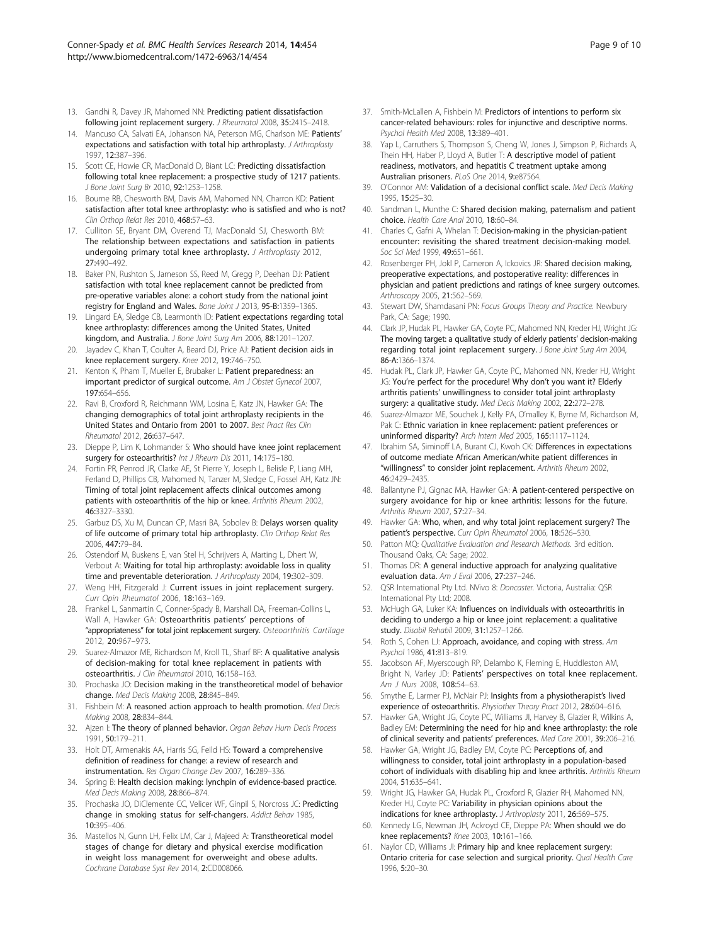- <span id="page-8-0"></span>13. Gandhi R, Davey JR, Mahomed NN: Predicting patient dissatisfaction following joint replacement surgery. J Rheumatol 2008, 35:2415–2418.
- 14. Mancuso CA, Salvati EA, Johanson NA, Peterson MG, Charlson ME: Patients' expectations and satisfaction with total hip arthroplasty. J Arthroplasty 1997, 12:387–396.
- 15. Scott CE, Howie CR, MacDonald D, Biant LC: Predicting dissatisfaction following total knee replacement: a prospective study of 1217 patients. J Bone Joint Surg Br 2010, 92:1253–1258.
- 16. Bourne RB, Chesworth BM, Davis AM, Mahomed NN, Charron KD: Patient satisfaction after total knee arthroplasty: who is satisfied and who is not? Clin Orthop Relat Res 2010, 468:57–63.
- 17. Culliton SE, Bryant DM, Overend TJ, MacDonald SJ, Chesworth BM: The relationship between expectations and satisfaction in patients undergoing primary total knee arthroplasty. J Arthroplasty 2012, 27:490–492.
- 18. Baker PN, Rushton S, Jameson SS, Reed M, Gregg P, Deehan DJ: Patient satisfaction with total knee replacement cannot be predicted from pre-operative variables alone: a cohort study from the national joint registry for England and Wales. Bone Joint J 2013, 95-B:1359–1365.
- 19. Lingard EA, Sledge CB, Learmonth ID: Patient expectations regarding total knee arthroplasty: differences among the United States, United kingdom, and Australia. J Bone Joint Surg Am 2006, 88:1201-1207.
- 20. Jayadev C, Khan T, Coulter A, Beard DJ, Price AJ: Patient decision aids in knee replacement surgery. Knee 2012, 19:746-750.
- 21. Kenton K, Pham T, Mueller E, Brubaker L: Patient preparedness: an important predictor of surgical outcome. Am J Obstet Gynecol 2007, 197:654–656.
- 22. Ravi B, Croxford R, Reichmann WM, Losina E, Katz JN, Hawker GA: The changing demographics of total joint arthroplasty recipients in the United States and Ontario from 2001 to 2007. Best Pract Res Clin Rheumatol 2012, 26:637–647.
- 23. Dieppe P, Lim K, Lohmander S: Who should have knee joint replacement surgery for osteoarthritis? Int J Rheum Dis 2011, 14:175-180.
- 24. Fortin PR, Penrod JR, Clarke AE, St Pierre Y, Joseph L, Belisle P, Liang MH, Ferland D, Phillips CB, Mahomed N, Tanzer M, Sledge C, Fossel AH, Katz JN: Timing of total joint replacement affects clinical outcomes among patients with osteoarthritis of the hip or knee. Arthritis Rheum 2002, 46:3327–3330.
- 25. Garbuz DS, Xu M, Duncan CP, Masri BA, Sobolev B: Delays worsen quality of life outcome of primary total hip arthroplasty. Clin Orthop Relat Res 2006, 447:79–84.
- 26. Ostendorf M, Buskens E, van Stel H, Schrijvers A, Marting L, Dhert W, Verbout A: Waiting for total hip arthroplasty: avoidable loss in quality time and preventable deterioration. J Arthroplasty 2004, 19:302-309.
- 27. Weng HH, Fitzgerald J: Current issues in joint replacement surgery. Curr Opin Rheumatol 2006, 18:163–169.
- 28. Frankel L, Sanmartin C, Conner-Spady B, Marshall DA, Freeman-Collins L, Wall A, Hawker GA: Osteoarthritis patients' perceptions of "appropriateness" for total joint replacement surgery. Osteoarthritis Cartilage 2012, 20:967–973.
- 29. Suarez-Almazor ME, Richardson M, Kroll TL, Sharf BF: A qualitative analysis of decision-making for total knee replacement in patients with osteoarthritis. J Clin Rheumatol 2010, 16:158–163.
- 30. Prochaska JO: Decision making in the transtheoretical model of behavior change. Med Decis Making 2008, 28:845-849.
- 31. Fishbein M: A reasoned action approach to health promotion. Med Decis Making 2008, 28:834–844.
- 32. Ajzen I: The theory of planned behavior. Organ Behav Hum Decis Process 1991, 50:179–211.
- 33. Holt DT, Armenakis AA, Harris SG, Feild HS: Toward a comprehensive definition of readiness for change: a review of research and instrumentation. Res Organ Change Dev 2007, 16:289–336.
- 34. Spring B: Health decision making: lynchpin of evidence-based practice. Med Decis Making 2008, 28:866–874.
- 35. Prochaska JO, DiClemente CC, Velicer WF, Ginpil S, Norcross JC: Predicting change in smoking status for self-changers. Addict Behav 1985, 10:395–406.
- 36. Mastellos N, Gunn LH, Felix LM, Car J, Majeed A: Transtheoretical model stages of change for dietary and physical exercise modification in weight loss management for overweight and obese adults. Cochrane Database Syst Rev 2014, 2:CD008066.
- 37. Smith-McLallen A, Fishbein M: Predictors of intentions to perform six cancer-related behaviours: roles for injunctive and descriptive norms. Psychol Health Med 2008, 13:389–401.
- 38. Yap L, Carruthers S, Thompson S, Cheng W, Jones J, Simpson P, Richards A, Thein HH, Haber P, Lloyd A, Butler T: A descriptive model of patient readiness, motivators, and hepatitis C treatment uptake among Australian prisoners. PLoS One 2014, 9:e87564.
- 39. O'Connor AM: Validation of a decisional conflict scale. Med Decis Making 1995, 15:25–30.
- 40. Sandman L, Munthe C: Shared decision making, paternalism and patient choice. Health Care Anal 2010, 18:60–84.
- 41. Charles C, Gafni A, Whelan T: Decision-making in the physician-patient encounter: revisiting the shared treatment decision-making model. Soc Sci Med 1999, 49:651–661.
- 42. Rosenberger PH, Jokl P, Cameron A, Ickovics JR: Shared decision making, preoperative expectations, and postoperative reality: differences in physician and patient predictions and ratings of knee surgery outcomes. Arthroscopy 2005, 21:562–569.
- 43. Stewart DW, Shamdasani PN: Focus Groups Theory and Practice. Newbury Park, CA: Sage; 1990.
- 44. Clark JP, Hudak PL, Hawker GA, Coyte PC, Mahomed NN, Kreder HJ, Wright JG: The moving target: a qualitative study of elderly patients' decision-making regarding total joint replacement surgery. J Bone Joint Surg Am 2004, 86-A:1366–1374.
- 45. Hudak PL, Clark JP, Hawker GA, Coyte PC, Mahomed NN, Kreder HJ, Wright JG: You're perfect for the procedure! Why don't you want it? Elderly arthritis patients' unwillingness to consider total joint arthroplasty surgery: a qualitative study. Med Decis Making 2002, 22:272-278.
- 46. Suarez-Almazor ME, Souchek J, Kelly PA, O'malley K, Byrne M, Richardson M, Pak C: Ethnic variation in knee replacement: patient preferences or uninformed disparity? Arch Intern Med 2005, 165:1117–1124.
- 47. Ibrahim SA, Siminoff LA, Burant CJ, Kwoh CK: Differences in expectations of outcome mediate African American/white patient differences in "willingness" to consider joint replacement. Arthritis Rheum 2002, 46:2429–2435.
- 48. Ballantyne PJ, Gignac MA, Hawker GA: A patient-centered perspective on surgery avoidance for hip or knee arthritis: lessons for the future. Arthritis Rheum 2007, 57:27–34.
- Hawker GA: Who, when, and why total joint replacement surgery? The patient's perspective. Curr Opin Rheumatol 2006, 18:526-530.
- 50. Patton MQ: Qualitative Evaluation and Research Methods. 3rd edition. Thousand Oaks, CA: Sage; 2002.
- 51. Thomas DR: A general inductive approach for analyzing qualitative evaluation data. Am J Eval 2006, 27:237–246.
- 52. QSR International Pty Ltd. NVivo 8: Doncaster. Victoria, Australia: QSR International Pty Ltd; 2008.
- 53. McHugh GA, Luker KA: Influences on individuals with osteoarthritis in deciding to undergo a hip or knee joint replacement: a qualitative study. Disabil Rehabil 2009, 31:1257–1266.
- 54. Roth S, Cohen LJ: Approach, avoidance, and coping with stress. Am Psychol 1986, 41:813–819.
- 55. Jacobson AF, Myerscough RP, Delambo K, Fleming E, Huddleston AM, Bright N, Varley JD: Patients' perspectives on total knee replacement. Am J Nurs 2008, 108:54–63.
- 56. Smythe E, Larmer PJ, McNair PJ: Insights from a physiotherapist's lived experience of osteoarthritis. Physiother Theory Pract 2012, 28:604–616.
- 57. Hawker GA, Wright JG, Coyte PC, Williams JI, Harvey B, Glazier R, Wilkins A, Badley EM: Determining the need for hip and knee arthroplasty: the role of clinical severity and patients' preferences. Med Care 2001, 39:206–216.
- 58. Hawker GA, Wright JG, Badley EM, Coyte PC: Perceptions of, and willingness to consider, total joint arthroplasty in a population-based cohort of individuals with disabling hip and knee arthritis. Arthritis Rheum 2004, 51:635–641.
- 59. Wright JG, Hawker GA, Hudak PL, Croxford R, Glazier RH, Mahomed NN, Kreder HJ, Coyte PC: Variability in physician opinions about the indications for knee arthroplasty. J Arthroplasty 2011, 26:569–575.
- 60. Kennedy LG, Newman JH, Ackroyd CE, Dieppe PA: When should we do knee replacements? Knee 2003, 10:161–166.
- 61. Naylor CD, Williams JI: Primary hip and knee replacement surgery: Ontario criteria for case selection and surgical priority. Qual Health Care 1996, 5:20–30.